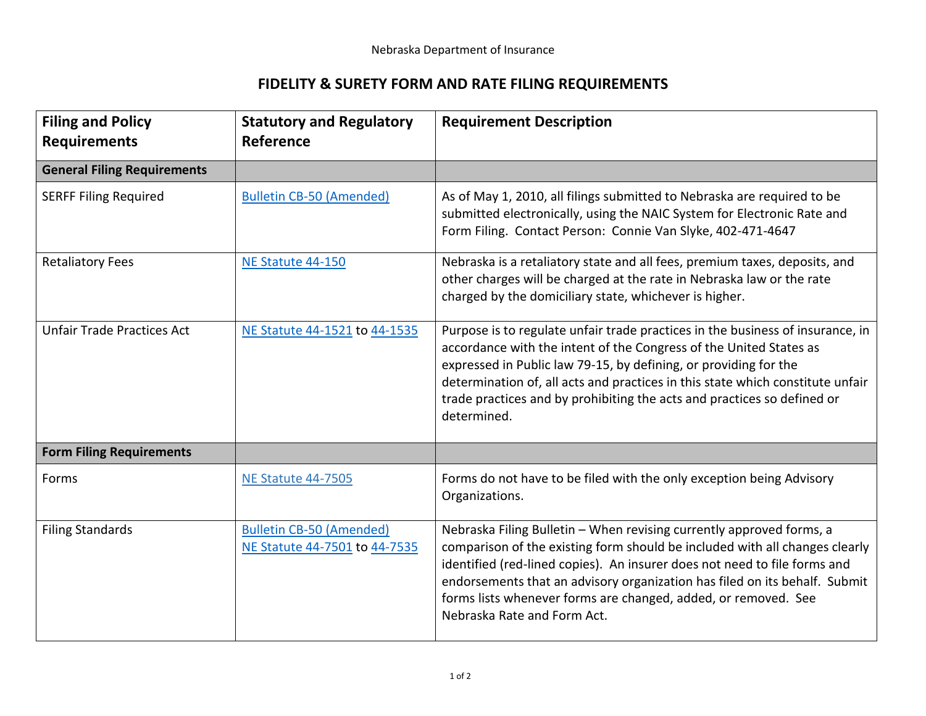## **FIDELITY & SURETY FORM AND RATE FILING REQUIREMENTS**

| <b>Filing and Policy</b><br><b>Requirements</b> | <b>Statutory and Regulatory</b><br><b>Reference</b>              | <b>Requirement Description</b>                                                                                                                                                                                                                                                                                                                                                                                  |
|-------------------------------------------------|------------------------------------------------------------------|-----------------------------------------------------------------------------------------------------------------------------------------------------------------------------------------------------------------------------------------------------------------------------------------------------------------------------------------------------------------------------------------------------------------|
| <b>General Filing Requirements</b>              |                                                                  |                                                                                                                                                                                                                                                                                                                                                                                                                 |
| <b>SERFF Filing Required</b>                    | <b>Bulletin CB-50 (Amended)</b>                                  | As of May 1, 2010, all filings submitted to Nebraska are required to be<br>submitted electronically, using the NAIC System for Electronic Rate and<br>Form Filing. Contact Person: Connie Van Slyke, 402-471-4647                                                                                                                                                                                               |
| <b>Retaliatory Fees</b>                         | NE Statute 44-150                                                | Nebraska is a retaliatory state and all fees, premium taxes, deposits, and<br>other charges will be charged at the rate in Nebraska law or the rate<br>charged by the domiciliary state, whichever is higher.                                                                                                                                                                                                   |
| <b>Unfair Trade Practices Act</b>               | NE Statute 44-1521 to 44-1535                                    | Purpose is to regulate unfair trade practices in the business of insurance, in<br>accordance with the intent of the Congress of the United States as<br>expressed in Public law 79-15, by defining, or providing for the<br>determination of, all acts and practices in this state which constitute unfair<br>trade practices and by prohibiting the acts and practices so defined or<br>determined.            |
| <b>Form Filing Requirements</b>                 |                                                                  |                                                                                                                                                                                                                                                                                                                                                                                                                 |
| Forms                                           | <b>NE Statute 44-7505</b>                                        | Forms do not have to be filed with the only exception being Advisory<br>Organizations.                                                                                                                                                                                                                                                                                                                          |
| <b>Filing Standards</b>                         | <b>Bulletin CB-50 (Amended)</b><br>NE Statute 44-7501 to 44-7535 | Nebraska Filing Bulletin - When revising currently approved forms, a<br>comparison of the existing form should be included with all changes clearly<br>identified (red-lined copies). An insurer does not need to file forms and<br>endorsements that an advisory organization has filed on its behalf. Submit<br>forms lists whenever forms are changed, added, or removed. See<br>Nebraska Rate and Form Act. |